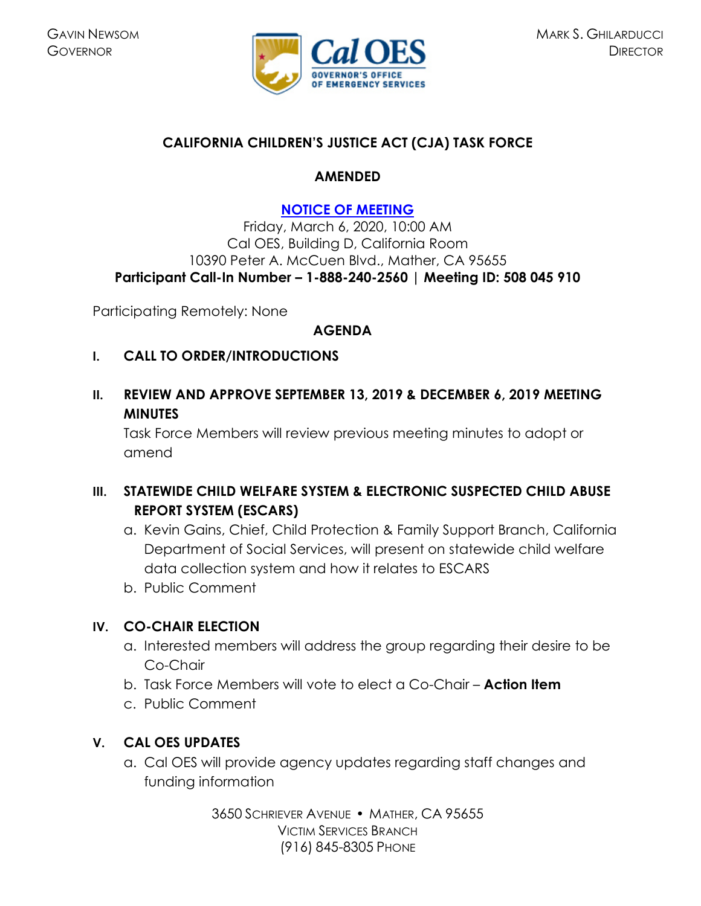

## **CALIFORNIA CHILDREN'S JUSTICE ACT (CJA) TASK FORCE**

#### **AMENDED**

## **[NOTICE OF MEETING](https://www.caloes.ca.gov/cal-oes-divisions/grants-management/victim-services/meeting-public-notices)**

Friday, March 6, 2020, 10:00 AM Cal OES, Building D, California Room 10390 Peter A. McCuen Blvd., Mather, CA 95655 **Participant Call-In Number – 1-888-240-2560 | Meeting ID: 508 045 910** 

Participating Remotely: None

#### **AGENDA**

- **I. CALL TO ORDER/INTRODUCTIONS**
- **II. REVIEW AND APPROVE SEPTEMBER 13, 2019 & DECEMBER 6, 2019 MEETING MINUTES**

Task Force Members will review previous meeting minutes to adopt or amend

# **III. STATEWIDE CHILD WELFARE SYSTEM & ELECTRONIC SUSPECTED CHILD ABUSE REPORT SYSTEM (ESCARS)**

- a. Kevin Gains, Chief, Child Protection & Family Support Branch, California Department of Social Services, will present on statewide child welfare data collection system and how it relates to ESCARS
- b. Public Comment

## **IV. CO-CHAIR ELECTION**

- a. Interested members will address the group regarding their desire to be Co-Chair
- b. Task Force Members will vote to elect a Co-Chair **Action Item**
- c. Public Comment

## **V. CAL OES UPDATES**

a. Cal OES will provide agency updates regarding staff changes and funding information

> 3650 SCHRIEVER AVENUE MATHER, CA 95655 VICTIM SERVICES BRANCH (916) 845-8305 PHONE